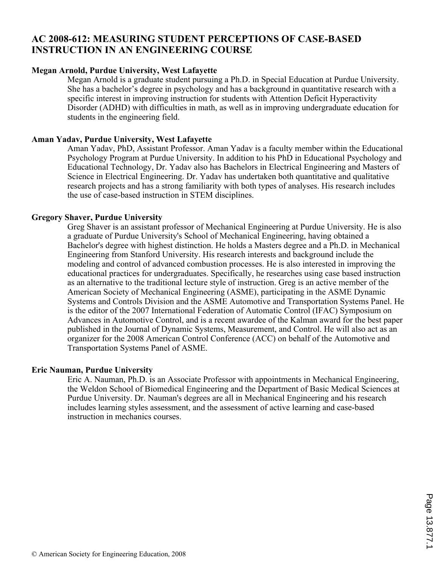# **AC 2008-612: MEASURING STUDENT PERCEPTIONS OF CASE-BASED INSTRUCTION IN AN ENGINEERING COURSE**

### **Megan Arnold, Purdue University, West Lafayette**

Megan Arnold is a graduate student pursuing a Ph.D. in Special Education at Purdue University. She has a bachelor's degree in psychology and has a background in quantitative research with a specific interest in improving instruction for students with Attention Deficit Hyperactivity Disorder (ADHD) with difficulties in math, as well as in improving undergraduate education for students in the engineering field.

#### **Aman Yadav, Purdue University, West Lafayette**

Aman Yadav, PhD, Assistant Professor. Aman Yadav is a faculty member within the Educational Psychology Program at Purdue University. In addition to his PhD in Educational Psychology and Educational Technology, Dr. Yadav also has Bachelors in Electrical Engineering and Masters of Science in Electrical Engineering. Dr. Yadav has undertaken both quantitative and qualitative research projects and has a strong familiarity with both types of analyses. His research includes the use of case-based instruction in STEM disciplines.

#### **Gregory Shaver, Purdue University**

Greg Shaver is an assistant professor of Mechanical Engineering at Purdue University. He is also a graduate of Purdue University's School of Mechanical Engineering, having obtained a Bachelor's degree with highest distinction. He holds a Masters degree and a Ph.D. in Mechanical Engineering from Stanford University. His research interests and background include the modeling and control of advanced combustion processes. He is also interested in improving the educational practices for undergraduates. Specifically, he researches using case based instruction as an alternative to the traditional lecture style of instruction. Greg is an active member of the American Society of Mechanical Engineering (ASME), participating in the ASME Dynamic Systems and Controls Division and the ASME Automotive and Transportation Systems Panel. He is the editor of the 2007 International Federation of Automatic Control (IFAC) Symposium on Advances in Automotive Control, and is a recent awardee of the Kalman award for the best paper published in the Journal of Dynamic Systems, Measurement, and Control. He will also act as an organizer for the 2008 American Control Conference (ACC) on behalf of the Automotive and Transportation Systems Panel of ASME.

#### **Eric Nauman, Purdue University**

Eric A. Nauman, Ph.D. is an Associate Professor with appointments in Mechanical Engineering, the Weldon School of Biomedical Engineering and the Department of Basic Medical Sciences at Purdue University. Dr. Nauman's degrees are all in Mechanical Engineering and his research includes learning styles assessment, and the assessment of active learning and case-based instruction in mechanics courses.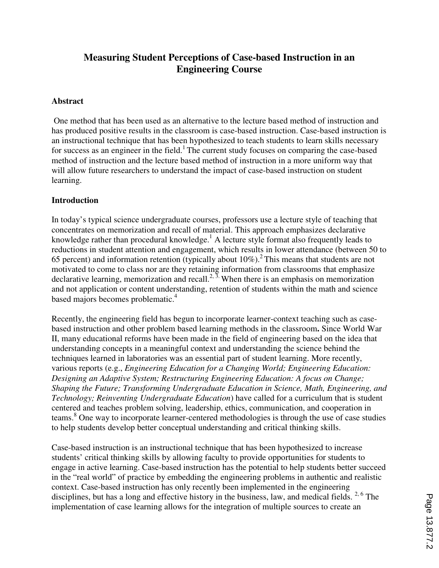# **Measuring Student Perceptions of Case-based Instruction in an Engineering Course**

### **Abstract**

One method that has been used as an alternative to the lecture based method of instruction and has produced positive results in the classroom is case-based instruction. Case-based instruction is an instructional technique that has been hypothesized to teach students to learn skills necessary for success as an engineer in the field.<sup>1</sup> The current study focuses on comparing the case-based method of instruction and the lecture based method of instruction in a more uniform way that will allow future researchers to understand the impact of case-based instruction on student learning.

### **Introduction**

In today's typical science undergraduate courses, professors use a lecture style of teaching that concentrates on memorization and recall of material. This approach emphasizes declarative knowledge rather than procedural knowledge.<sup>1</sup> A lecture style format also frequently leads to reductions in student attention and engagement, which results in lower attendance (between 50 to 65 percent) and information retention (typically about  $10\%$ ).<sup>2</sup> This means that students are not motivated to come to class nor are they retaining information from classrooms that emphasize declarative learning, memorization and recall.<sup>2,  $\overline{3}$ </sup>. When there is an emphasis on memorization and not application or content understanding, retention of students within the math and science based majors becomes problematic.<sup>4</sup>

Recently, the engineering field has begun to incorporate learner-context teaching such as casebased instruction and other problem based learning methods in the classroom**.** Since World War II, many educational reforms have been made in the field of engineering based on the idea that understanding concepts in a meaningful context and understanding the science behind the techniques learned in laboratories was an essential part of student learning. More recently, various reports (e.g., *Engineering Education for a Changing World; Engineering Education: Designing an Adaptive System; Restructuring Engineering Education: A focus on Change; Shaping the Future; Transforming Undergraduate Education in Science, Math, Engineering, and Technology; Reinventing Undergraduate Education*) have called for a curriculum that is student centered and teaches problem solving, leadership, ethics, communication, and cooperation in teams.<sup>8</sup> One way to incorporate learner-centered methodologies is through the use of case studies to help students develop better conceptual understanding and critical thinking skills.

Case-based instruction is an instructional technique that has been hypothesized to increase students' critical thinking skills by allowing faculty to provide opportunities for students to engage in active learning. Case-based instruction has the potential to help students better succeed in the "real world" of practice by embedding the engineering problems in authentic and realistic context. Case-based instruction has only recently been implemented in the engineering disciplines, but has a long and effective history in the business, law, and medical fields. <sup>2, 6</sup> The implementation of case learning allows for the integration of multiple sources to create an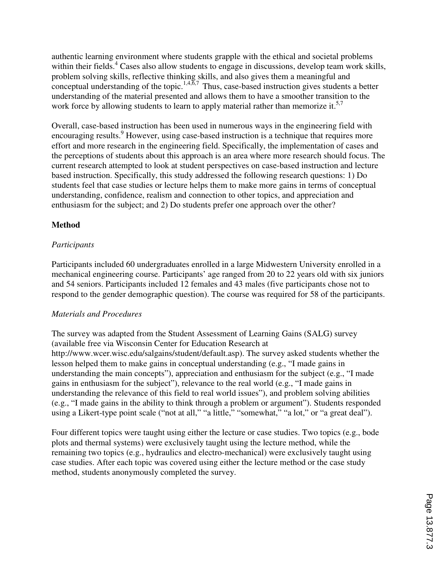authentic learning environment where students grapple with the ethical and societal problems within their fields.<sup>4</sup> Cases also allow students to engage in discussions, develop team work skills, problem solving skills, reflective thinking skills, and also gives them a meaningful and conceptual understanding of the topic.<sup>1,4, $\overline{6,7}$ </sup> Thus, case-based instruction gives students a better understanding of the material presented and allows them to have a smoother transition to the work force by allowing students to learn to apply material rather than memorize it.<sup>5,7</sup>

Overall, case-based instruction has been used in numerous ways in the engineering field with encouraging results.<sup>9</sup> However, using case-based instruction is a technique that requires more effort and more research in the engineering field. Specifically, the implementation of cases and the perceptions of students about this approach is an area where more research should focus. The current research attempted to look at student perspectives on case-based instruction and lecture based instruction. Specifically, this study addressed the following research questions: 1) Do students feel that case studies or lecture helps them to make more gains in terms of conceptual understanding, confidence, realism and connection to other topics, and appreciation and enthusiasm for the subject; and 2) Do students prefer one approach over the other?

## **Method**

## *Participants*

Participants included 60 undergraduates enrolled in a large Midwestern University enrolled in a mechanical engineering course. Participants' age ranged from 20 to 22 years old with six juniors and 54 seniors. Participants included 12 females and 43 males (five participants chose not to respond to the gender demographic question). The course was required for 58 of the participants.

## *Materials and Procedures*

The survey was adapted from the Student Assessment of Learning Gains (SALG) survey (available free via Wisconsin Center for Education Research at http://www.wcer.wisc.edu/salgains/student/default.asp). The survey asked students whether the lesson helped them to make gains in conceptual understanding (e.g., "I made gains in understanding the main concepts"), appreciation and enthusiasm for the subject (e.g., "I made gains in enthusiasm for the subject"), relevance to the real world (e.g., "I made gains in understanding the relevance of this field to real world issues"), and problem solving abilities (e.g., "I made gains in the ability to think through a problem or argument"). Students responded using a Likert-type point scale ("not at all," "a little," "somewhat," "a lot," or "a great deal").

Four different topics were taught using either the lecture or case studies. Two topics (e.g., bode plots and thermal systems) were exclusively taught using the lecture method, while the remaining two topics (e.g., hydraulics and electro-mechanical) were exclusively taught using case studies. After each topic was covered using either the lecture method or the case study method, students anonymously completed the survey.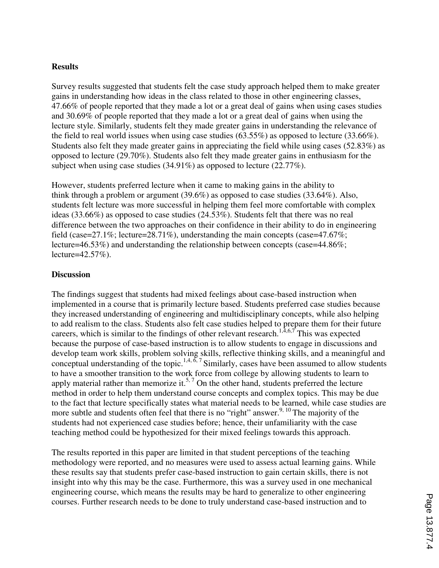#### **Results**

Survey results suggested that students felt the case study approach helped them to make greater gains in understanding how ideas in the class related to those in other engineering classes, 47.66% of people reported that they made a lot or a great deal of gains when using cases studies and 30.69% of people reported that they made a lot or a great deal of gains when using the lecture style. Similarly, students felt they made greater gains in understanding the relevance of the field to real world issues when using case studies (63.55%) as opposed to lecture (33.66%). Students also felt they made greater gains in appreciating the field while using cases (52.83%) as opposed to lecture (29.70%). Students also felt they made greater gains in enthusiasm for the subject when using case studies (34.91%) as opposed to lecture (22.77%).

However, students preferred lecture when it came to making gains in the ability to think through a problem or argument (39.6%) as opposed to case studies (33.64%). Also, students felt lecture was more successful in helping them feel more comfortable with complex ideas (33.66%) as opposed to case studies (24.53%). Students felt that there was no real difference between the two approaches on their confidence in their ability to do in engineering field (case=27.1%; lecture=28.71%), understanding the main concepts (case=47.67%; lecture=46.53%) and understanding the relationship between concepts (case=44.86%; lecture=42.57%).

#### **Discussion**

The findings suggest that students had mixed feelings about case-based instruction when implemented in a course that is primarily lecture based. Students preferred case studies because they increased understanding of engineering and multidisciplinary concepts, while also helping to add realism to the class. Students also felt case studies helped to prepare them for their future careers, which is similar to the findings of other relevant research.<sup>1,4,6,7</sup> This was expected because the purpose of case-based instruction is to allow students to engage in discussions and develop team work skills, problem solving skills, reflective thinking skills, and a meaningful and conceptual understanding of the topic.<sup>1,4,  $\delta$ , 7 Similarly, cases have been assumed to allow students</sup> to have a smoother transition to the work force from college by allowing students to learn to apply material rather than memorize it.<sup>5,7</sup> On the other hand, students preferred the lecture method in order to help them understand course concepts and complex topics. This may be due to the fact that lecture specifically states what material needs to be learned, while case studies are more subtle and students often feel that there is no "right" answer.<sup>9, 10</sup> The majority of the students had not experienced case studies before; hence, their unfamiliarity with the case teaching method could be hypothesized for their mixed feelings towards this approach.

The results reported in this paper are limited in that student perceptions of the teaching methodology were reported, and no measures were used to assess actual learning gains. While these results say that students prefer case-based instruction to gain certain skills, there is not insight into why this may be the case. Furthermore, this was a survey used in one mechanical engineering course, which means the results may be hard to generalize to other engineering courses. Further research needs to be done to truly understand case-based instruction and to